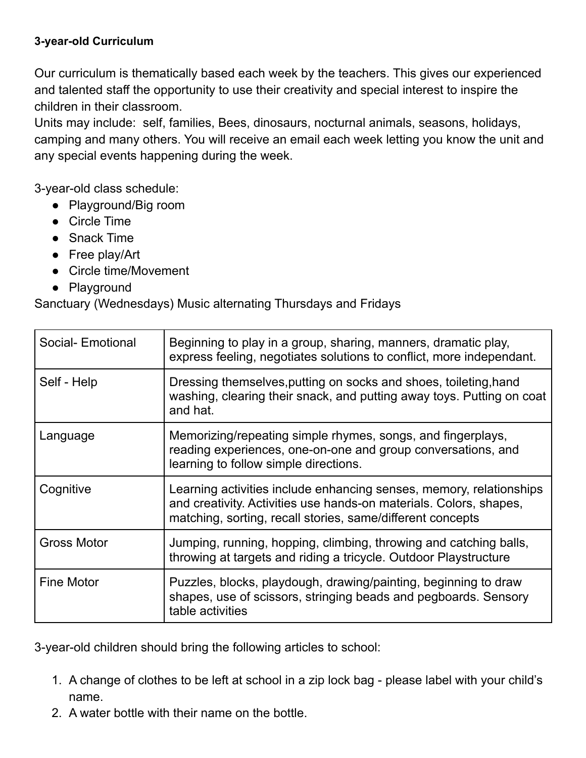## **3-year-old Curriculum**

Our curriculum is thematically based each week by the teachers. This gives our experienced and talented staff the opportunity to use their creativity and special interest to inspire the children in their classroom.

Units may include: self, families, Bees, dinosaurs, nocturnal animals, seasons, holidays, camping and many others. You will receive an email each week letting you know the unit and any special events happening during the week.

3-year-old class schedule:

- Playground/Big room
- Circle Time
- Snack Time
- Free play/Art
- Circle time/Movement
- Playground

Sanctuary (Wednesdays) Music alternating Thursdays and Fridays

| Social- Emotional  | Beginning to play in a group, sharing, manners, dramatic play,<br>express feeling, negotiates solutions to conflict, more independant.                                                                  |
|--------------------|---------------------------------------------------------------------------------------------------------------------------------------------------------------------------------------------------------|
| Self - Help        | Dressing themselves, putting on socks and shoes, toileting, hand<br>washing, clearing their snack, and putting away toys. Putting on coat<br>and hat.                                                   |
| Language           | Memorizing/repeating simple rhymes, songs, and fingerplays,<br>reading experiences, one-on-one and group conversations, and<br>learning to follow simple directions.                                    |
| Cognitive          | Learning activities include enhancing senses, memory, relationships<br>and creativity. Activities use hands-on materials. Colors, shapes,<br>matching, sorting, recall stories, same/different concepts |
| <b>Gross Motor</b> | Jumping, running, hopping, climbing, throwing and catching balls,<br>throwing at targets and riding a tricycle. Outdoor Playstructure                                                                   |
| <b>Fine Motor</b>  | Puzzles, blocks, playdough, drawing/painting, beginning to draw<br>shapes, use of scissors, stringing beads and pegboards. Sensory<br>table activities                                                  |

3-year-old children should bring the following articles to school:

- 1. A change of clothes to be left at school in a zip lock bag please label with your child's name.
- 2. A water bottle with their name on the bottle.